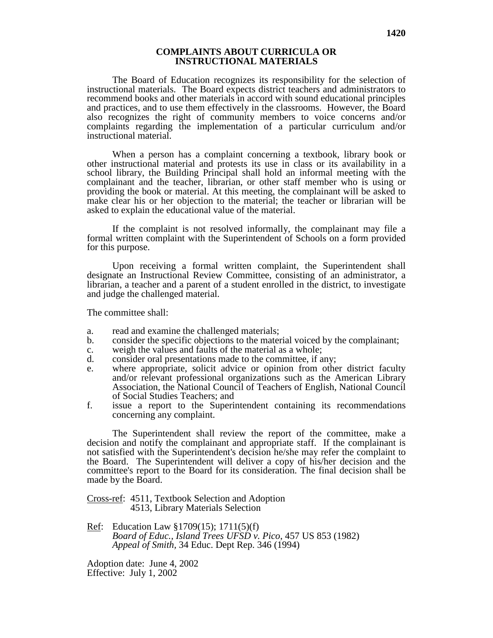## **COMPLAINTS ABOUT CURRICULA OR INSTRUCTIONAL MATERIALS**

The Board of Education recognizes its responsibility for the selection of instructional materials. The Board expects district teachers and administrators to recommend books and other materials in accord with sound educational principles and practices, and to use them effectively in the classrooms. However, the Board also recognizes the right of community members to voice concerns and/or complaints regarding the implementation of a particular curriculum and/or instructional material.

When a person has a complaint concerning a textbook, library book or other instructional material and protests its use in class or its availability in a school library, the Building Principal shall hold an informal meeting with the complainant and the teacher, librarian, or other staff member who is using or providing the book or material. At this meeting, the complainant will be asked to make clear his or her objection to the material; the teacher or librarian will be asked to explain the educational value of the material.

If the complaint is not resolved informally, the complainant may file a formal written complaint with the Superintendent of Schools on a form provided for this purpose.

Upon receiving a formal written complaint, the Superintendent shall designate an Instructional Review Committee, consisting of an administrator, a librarian, a teacher and a parent of a student enrolled in the district, to investigate and judge the challenged material.

The committee shall:

- a. read and examine the challenged materials;<br>b. consider the specific objections to the mater
- b. consider the specific objections to the material voiced by the complainant;
- c. weigh the values and faults of the material as a whole;
- d. consider oral presentations made to the committee, if any;<br>e. where appropriate, solicit advice or opinion from other
- where appropriate, solicit advice or opinion from other district faculty and/or relevant professional organizations such as the American Library Association, the National Council of Teachers of English, National Council of Social Studies Teachers; and
- f. issue a report to the Superintendent containing its recommendations concerning any complaint.

The Superintendent shall review the report of the committee, make a decision and notify the complainant and appropriate staff. If the complainant is not satisfied with the Superintendent's decision he/she may refer the complaint to the Board. The Superintendent will deliver a copy of his/her decision and the committee's report to the Board for its consideration. The final decision shall be made by the Board.

Cross-ref: 4511, Textbook Selection and Adoption 4513, Library Materials Selection

Ref: Education Law §1709(15); 1711(5)(f) *Board of Educ., Island Trees UFSD v. Pico*, 457 US 853 (1982) *Appeal of Smith,* 34 Educ. Dept Rep. 346 (1994)

Adoption date: June 4, 2002 Effective: July 1, 2002